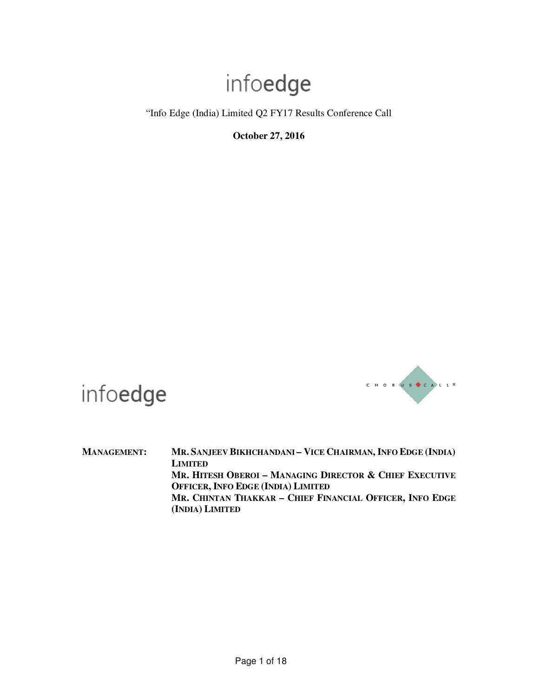"Info Edge (India) Limited Q2 FY17 Results Conference Call

**October 27, 2016** 



infoedge

MANAGEMENT: MR. SANJEEV BIKHCHANDANI - VICE CHAIRMAN, INFO EDGE (INDIA) **LIMITED MR. HITESH OBEROI – MANAGING DIRECTOR & CHIEF EXECUTIVE OFFICER, INFO EDGE (INDIA) LIMITED MR. CHINTAN THAKKAR – CHIEF FINANCIAL OFFICER, INFO EDGE (INDIA) LIMITED**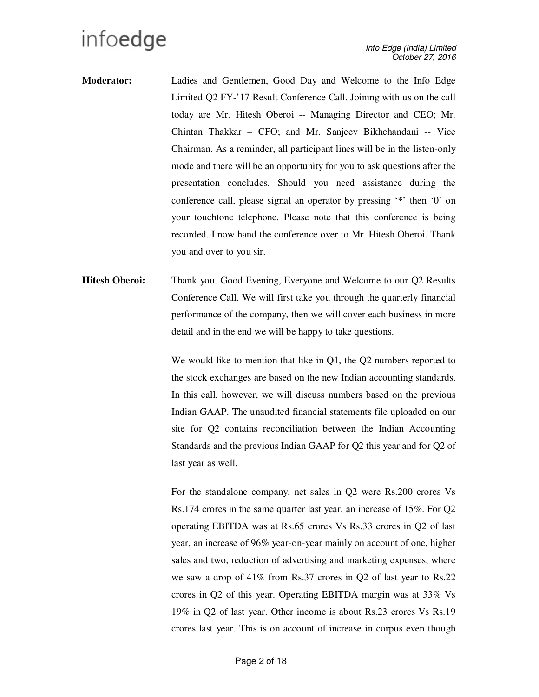- **Moderator:** Ladies and Gentlemen, Good Day and Welcome to the Info Edge Limited Q2 FY-'17 Result Conference Call. Joining with us on the call today are Mr. Hitesh Oberoi -- Managing Director and CEO; Mr. Chintan Thakkar – CFO; and Mr. Sanjeev Bikhchandani -- Vice Chairman. As a reminder, all participant lines will be in the listen-only mode and there will be an opportunity for you to ask questions after the presentation concludes. Should you need assistance during the conference call, please signal an operator by pressing '\*' then '0' on your touchtone telephone. Please note that this conference is being recorded. I now hand the conference over to Mr. Hitesh Oberoi. Thank you and over to you sir.
- **Hitesh Oberoi:** Thank you. Good Evening, Everyone and Welcome to our Q2 Results Conference Call. We will first take you through the quarterly financial performance of the company, then we will cover each business in more detail and in the end we will be happy to take questions.

We would like to mention that like in Q1, the Q2 numbers reported to the stock exchanges are based on the new Indian accounting standards. In this call, however, we will discuss numbers based on the previous Indian GAAP. The unaudited financial statements file uploaded on our site for Q2 contains reconciliation between the Indian Accounting Standards and the previous Indian GAAP for Q2 this year and for Q2 of last year as well.

For the standalone company, net sales in Q2 were Rs.200 crores Vs Rs.174 crores in the same quarter last year, an increase of 15%. For Q2 operating EBITDA was at Rs.65 crores Vs Rs.33 crores in Q2 of last year, an increase of 96% year-on-year mainly on account of one, higher sales and two, reduction of advertising and marketing expenses, where we saw a drop of 41% from Rs.37 crores in Q2 of last year to Rs.22 crores in Q2 of this year. Operating EBITDA margin was at 33% Vs 19% in Q2 of last year. Other income is about Rs.23 crores Vs Rs.19 crores last year. This is on account of increase in corpus even though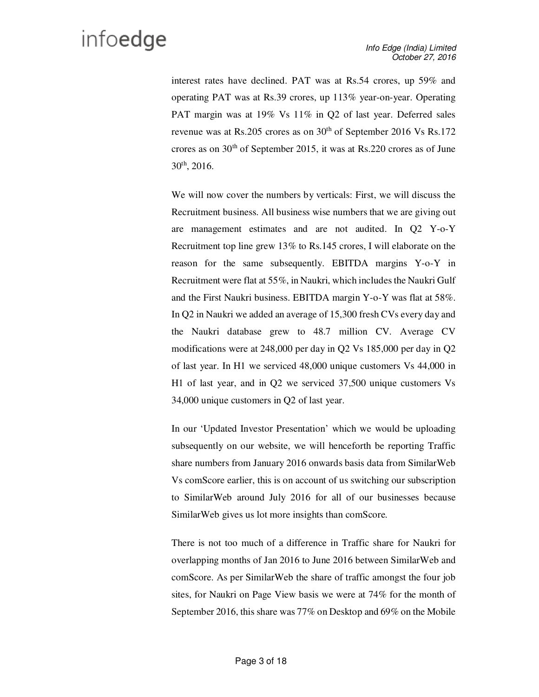interest rates have declined. PAT was at Rs.54 crores, up 59% and operating PAT was at Rs.39 crores, up 113% year-on-year. Operating PAT margin was at 19% Vs 11% in Q2 of last year. Deferred sales revenue was at Rs.205 crores as on 30<sup>th</sup> of September 2016 Vs Rs.172 crores as on  $30<sup>th</sup>$  of September 2015, it was at Rs.220 crores as of June 30th, 2016.

We will now cover the numbers by verticals: First, we will discuss the Recruitment business. All business wise numbers that we are giving out are management estimates and are not audited. In Q2 Y-o-Y Recruitment top line grew 13% to Rs.145 crores, I will elaborate on the reason for the same subsequently. EBITDA margins Y-o-Y in Recruitment were flat at 55%, in Naukri, which includes the Naukri Gulf and the First Naukri business. EBITDA margin Y-o-Y was flat at 58%. In Q2 in Naukri we added an average of 15,300 fresh CVs every day and the Naukri database grew to 48.7 million CV. Average CV modifications were at 248,000 per day in Q2 Vs 185,000 per day in Q2 of last year. In H1 we serviced 48,000 unique customers Vs 44,000 in H1 of last year, and in Q2 we serviced 37,500 unique customers Vs 34,000 unique customers in Q2 of last year.

In our 'Updated Investor Presentation' which we would be uploading subsequently on our website, we will henceforth be reporting Traffic share numbers from January 2016 onwards basis data from SimilarWeb Vs comScore earlier, this is on account of us switching our subscription to SimilarWeb around July 2016 for all of our businesses because SimilarWeb gives us lot more insights than comScore.

There is not too much of a difference in Traffic share for Naukri for overlapping months of Jan 2016 to June 2016 between SimilarWeb and comScore. As per SimilarWeb the share of traffic amongst the four job sites, for Naukri on Page View basis we were at 74% for the month of September 2016, this share was 77% on Desktop and 69% on the Mobile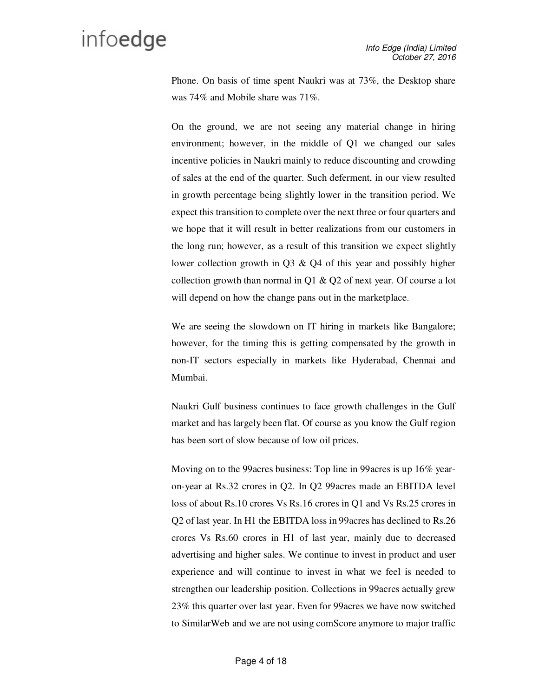Phone. On basis of time spent Naukri was at 73%, the Desktop share was 74% and Mobile share was 71%.

On the ground, we are not seeing any material change in hiring environment; however, in the middle of Q1 we changed our sales incentive policies in Naukri mainly to reduce discounting and crowding of sales at the end of the quarter. Such deferment, in our view resulted in growth percentage being slightly lower in the transition period. We expect this transition to complete over the next three or four quarters and we hope that it will result in better realizations from our customers in the long run; however, as a result of this transition we expect slightly lower collection growth in Q3 & Q4 of this year and possibly higher collection growth than normal in Q1  $\&$  Q2 of next year. Of course a lot will depend on how the change pans out in the marketplace.

We are seeing the slowdown on IT hiring in markets like Bangalore; however, for the timing this is getting compensated by the growth in non-IT sectors especially in markets like Hyderabad, Chennai and Mumbai.

Naukri Gulf business continues to face growth challenges in the Gulf market and has largely been flat. Of course as you know the Gulf region has been sort of slow because of low oil prices.

Moving on to the 99acres business: Top line in 99acres is up 16% yearon-year at Rs.32 crores in Q2. In Q2 99acres made an EBITDA level loss of about Rs.10 crores Vs Rs.16 crores in Q1 and Vs Rs.25 crores in Q2 of last year. In H1 the EBITDA loss in 99acres has declined to Rs.26 crores Vs Rs.60 crores in H1 of last year, mainly due to decreased advertising and higher sales. We continue to invest in product and user experience and will continue to invest in what we feel is needed to strengthen our leadership position. Collections in 99acres actually grew 23% this quarter over last year. Even for 99acres we have now switched to SimilarWeb and we are not using comScore anymore to major traffic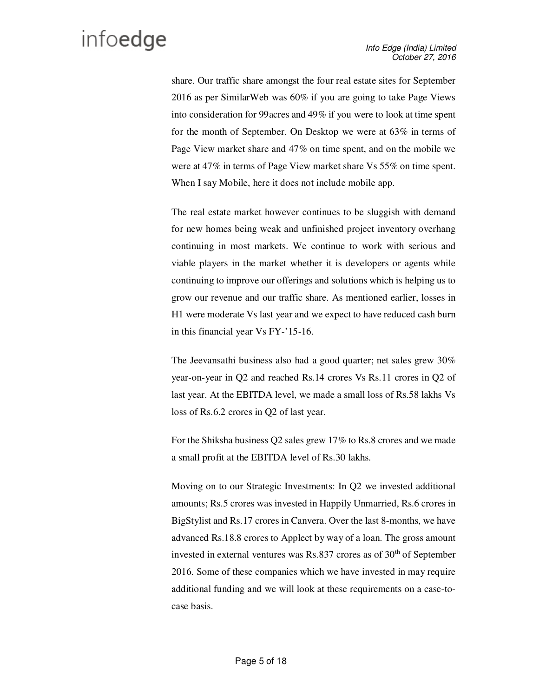share. Our traffic share amongst the four real estate sites for September 2016 as per SimilarWeb was 60% if you are going to take Page Views into consideration for 99acres and 49% if you were to look at time spent for the month of September. On Desktop we were at 63% in terms of Page View market share and 47% on time spent, and on the mobile we were at 47% in terms of Page View market share Vs 55% on time spent. When I say Mobile, here it does not include mobile app.

The real estate market however continues to be sluggish with demand for new homes being weak and unfinished project inventory overhang continuing in most markets. We continue to work with serious and viable players in the market whether it is developers or agents while continuing to improve our offerings and solutions which is helping us to grow our revenue and our traffic share. As mentioned earlier, losses in H1 were moderate Vs last year and we expect to have reduced cash burn in this financial year Vs FY-'15-16.

The Jeevansathi business also had a good quarter; net sales grew 30% year-on-year in Q2 and reached Rs.14 crores Vs Rs.11 crores in Q2 of last year. At the EBITDA level, we made a small loss of Rs.58 lakhs Vs loss of Rs.6.2 crores in Q2 of last year.

For the Shiksha business Q2 sales grew 17% to Rs.8 crores and we made a small profit at the EBITDA level of Rs.30 lakhs.

Moving on to our Strategic Investments: In Q2 we invested additional amounts; Rs.5 crores was invested in Happily Unmarried, Rs.6 crores in BigStylist and Rs.17 crores in Canvera. Over the last 8-months, we have advanced Rs.18.8 crores to Applect by way of a loan. The gross amount invested in external ventures was Rs.837 crores as of  $30<sup>th</sup>$  of September 2016. Some of these companies which we have invested in may require additional funding and we will look at these requirements on a case-tocase basis.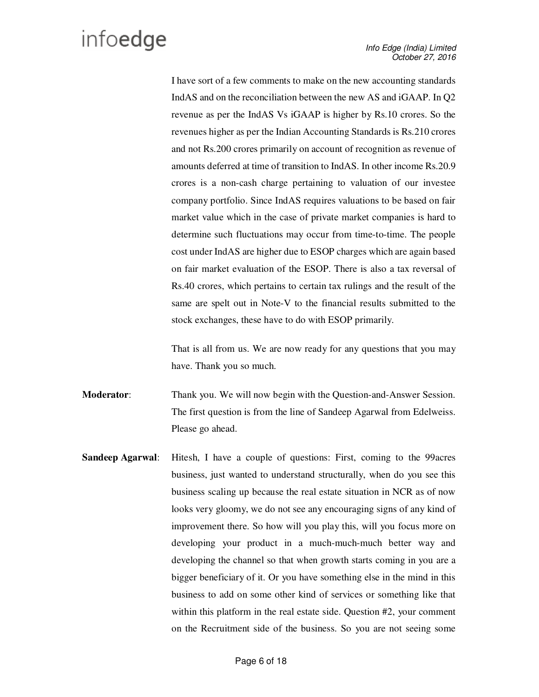I have sort of a few comments to make on the new accounting standards IndAS and on the reconciliation between the new AS and iGAAP. In Q2 revenue as per the IndAS Vs iGAAP is higher by Rs.10 crores. So the revenues higher as per the Indian Accounting Standards is Rs.210 crores and not Rs.200 crores primarily on account of recognition as revenue of amounts deferred at time of transition to IndAS. In other income Rs.20.9 crores is a non-cash charge pertaining to valuation of our investee company portfolio. Since IndAS requires valuations to be based on fair market value which in the case of private market companies is hard to determine such fluctuations may occur from time-to-time. The people cost under IndAS are higher due to ESOP charges which are again based on fair market evaluation of the ESOP. There is also a tax reversal of Rs.40 crores, which pertains to certain tax rulings and the result of the same are spelt out in Note-V to the financial results submitted to the stock exchanges, these have to do with ESOP primarily.

That is all from us. We are now ready for any questions that you may have. Thank you so much.

- **Moderator**: Thank you. We will now begin with the Question-and-Answer Session. The first question is from the line of Sandeep Agarwal from Edelweiss. Please go ahead.
- **Sandeep Agarwal**: Hitesh, I have a couple of questions: First, coming to the 99acres business, just wanted to understand structurally, when do you see this business scaling up because the real estate situation in NCR as of now looks very gloomy, we do not see any encouraging signs of any kind of improvement there. So how will you play this, will you focus more on developing your product in a much-much-much better way and developing the channel so that when growth starts coming in you are a bigger beneficiary of it. Or you have something else in the mind in this business to add on some other kind of services or something like that within this platform in the real estate side. Question #2, your comment on the Recruitment side of the business. So you are not seeing some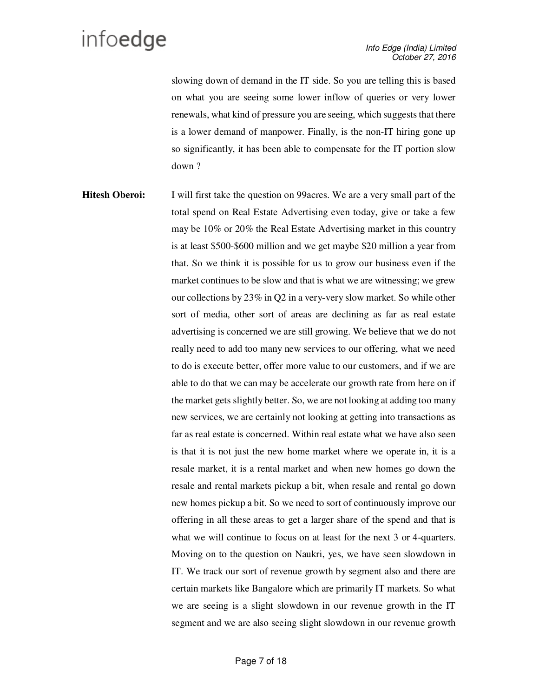slowing down of demand in the IT side. So you are telling this is based on what you are seeing some lower inflow of queries or very lower renewals, what kind of pressure you are seeing, which suggests that there is a lower demand of manpower. Finally, is the non-IT hiring gone up so significantly, it has been able to compensate for the IT portion slow down ?

**Hitesh Oberoi:** I will first take the question on 99acres. We are a very small part of the total spend on Real Estate Advertising even today, give or take a few may be 10% or 20% the Real Estate Advertising market in this country is at least \$500-\$600 million and we get maybe \$20 million a year from that. So we think it is possible for us to grow our business even if the market continues to be slow and that is what we are witnessing; we grew our collections by 23% in Q2 in a very-very slow market. So while other sort of media, other sort of areas are declining as far as real estate advertising is concerned we are still growing. We believe that we do not really need to add too many new services to our offering, what we need to do is execute better, offer more value to our customers, and if we are able to do that we can may be accelerate our growth rate from here on if the market gets slightly better. So, we are not looking at adding too many new services, we are certainly not looking at getting into transactions as far as real estate is concerned. Within real estate what we have also seen is that it is not just the new home market where we operate in, it is a resale market, it is a rental market and when new homes go down the resale and rental markets pickup a bit, when resale and rental go down new homes pickup a bit. So we need to sort of continuously improve our offering in all these areas to get a larger share of the spend and that is what we will continue to focus on at least for the next 3 or 4-quarters. Moving on to the question on Naukri, yes, we have seen slowdown in IT. We track our sort of revenue growth by segment also and there are certain markets like Bangalore which are primarily IT markets. So what we are seeing is a slight slowdown in our revenue growth in the IT segment and we are also seeing slight slowdown in our revenue growth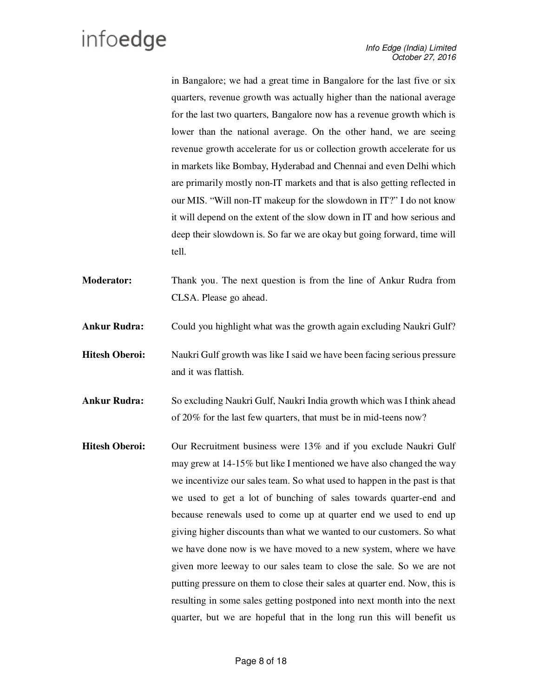in Bangalore; we had a great time in Bangalore for the last five or six quarters, revenue growth was actually higher than the national average for the last two quarters, Bangalore now has a revenue growth which is lower than the national average. On the other hand, we are seeing revenue growth accelerate for us or collection growth accelerate for us in markets like Bombay, Hyderabad and Chennai and even Delhi which are primarily mostly non-IT markets and that is also getting reflected in our MIS. "Will non-IT makeup for the slowdown in IT?" I do not know it will depend on the extent of the slow down in IT and how serious and deep their slowdown is. So far we are okay but going forward, time will tell.

- **Moderator:** Thank you. The next question is from the line of Ankur Rudra from CLSA. Please go ahead.
- **Ankur Rudra:** Could you highlight what was the growth again excluding Naukri Gulf?

**Hitesh Oberoi:** Naukri Gulf growth was like I said we have been facing serious pressure and it was flattish.

**Ankur Rudra:** So excluding Naukri Gulf, Naukri India growth which was I think ahead of 20% for the last few quarters, that must be in mid-teens now?

**Hitesh Oberoi:** Our Recruitment business were 13% and if you exclude Naukri Gulf may grew at 14-15% but like I mentioned we have also changed the way we incentivize our sales team. So what used to happen in the past is that we used to get a lot of bunching of sales towards quarter-end and because renewals used to come up at quarter end we used to end up giving higher discounts than what we wanted to our customers. So what we have done now is we have moved to a new system, where we have given more leeway to our sales team to close the sale. So we are not putting pressure on them to close their sales at quarter end. Now, this is resulting in some sales getting postponed into next month into the next quarter, but we are hopeful that in the long run this will benefit us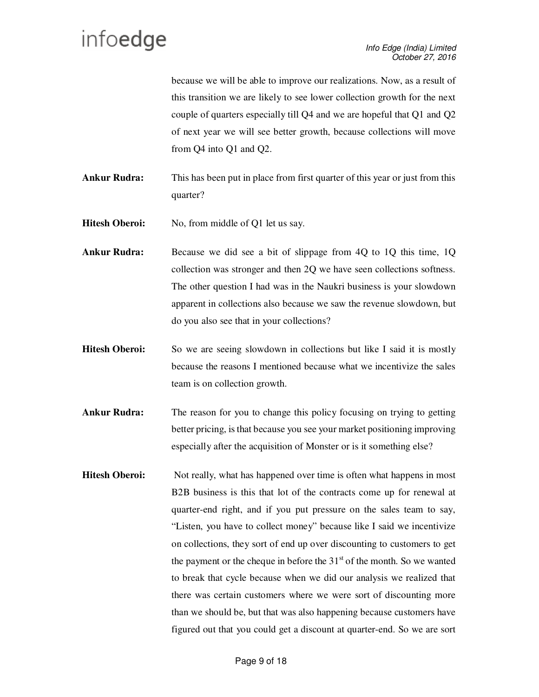because we will be able to improve our realizations. Now, as a result of this transition we are likely to see lower collection growth for the next couple of quarters especially till Q4 and we are hopeful that Q1 and Q2 of next year we will see better growth, because collections will move from Q4 into Q1 and Q2.

**Ankur Rudra:** This has been put in place from first quarter of this year or just from this quarter?

**Hitesh Oberoi:** No, from middle of O1 let us say.

- **Ankur Rudra:** Because we did see a bit of slippage from 4Q to 1Q this time, 1Q collection was stronger and then 2Q we have seen collections softness. The other question I had was in the Naukri business is your slowdown apparent in collections also because we saw the revenue slowdown, but do you also see that in your collections?
- **Hitesh Oberoi:** So we are seeing slowdown in collections but like I said it is mostly because the reasons I mentioned because what we incentivize the sales team is on collection growth.
- **Ankur Rudra:** The reason for you to change this policy focusing on trying to getting better pricing, is that because you see your market positioning improving especially after the acquisition of Monster or is it something else?
- **Hitesh Oberoi:** Not really, what has happened over time is often what happens in most B2B business is this that lot of the contracts come up for renewal at quarter-end right, and if you put pressure on the sales team to say, "Listen, you have to collect money" because like I said we incentivize on collections, they sort of end up over discounting to customers to get the payment or the cheque in before the  $31<sup>st</sup>$  of the month. So we wanted to break that cycle because when we did our analysis we realized that there was certain customers where we were sort of discounting more than we should be, but that was also happening because customers have figured out that you could get a discount at quarter-end. So we are sort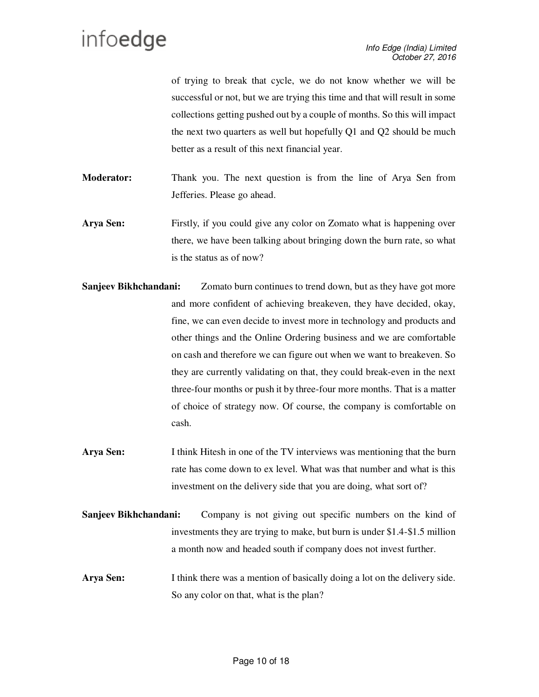of trying to break that cycle, we do not know whether we will be successful or not, but we are trying this time and that will result in some collections getting pushed out by a couple of months. So this will impact the next two quarters as well but hopefully Q1 and Q2 should be much better as a result of this next financial year.

**Moderator:** Thank you. The next question is from the line of Arya Sen from Jefferies. Please go ahead.

**Arya Sen:** Firstly, if you could give any color on Zomato what is happening over there, we have been talking about bringing down the burn rate, so what is the status as of now?

- **Sanjeev Bikhchandani:** Zomato burn continues to trend down, but as they have got more and more confident of achieving breakeven, they have decided, okay, fine, we can even decide to invest more in technology and products and other things and the Online Ordering business and we are comfortable on cash and therefore we can figure out when we want to breakeven. So they are currently validating on that, they could break-even in the next three-four months or push it by three-four more months. That is a matter of choice of strategy now. Of course, the company is comfortable on cash.
- **Arya Sen:** I think Hitesh in one of the TV interviews was mentioning that the burn rate has come down to ex level. What was that number and what is this investment on the delivery side that you are doing, what sort of?
- **Sanjeev Bikhchandani:** Company is not giving out specific numbers on the kind of investments they are trying to make, but burn is under \$1.4-\$1.5 million a month now and headed south if company does not invest further.
- **Arya Sen:** I think there was a mention of basically doing a lot on the delivery side. So any color on that, what is the plan?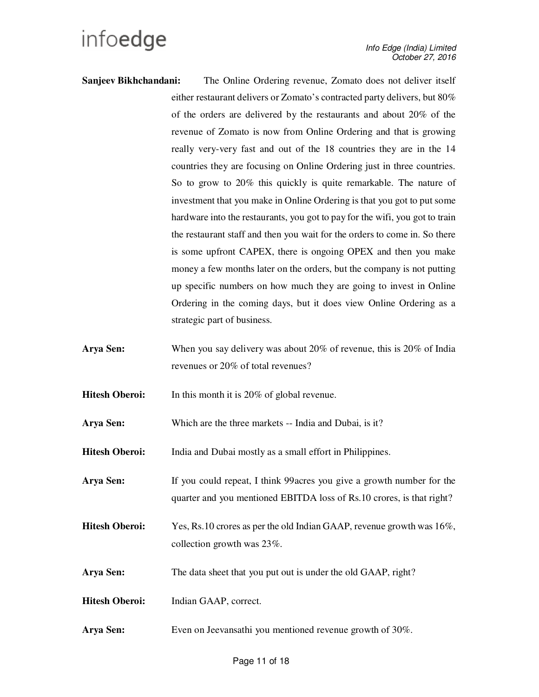- **Sanjeev Bikhchandani:** The Online Ordering revenue, Zomato does not deliver itself either restaurant delivers or Zomato's contracted party delivers, but 80% of the orders are delivered by the restaurants and about 20% of the revenue of Zomato is now from Online Ordering and that is growing really very-very fast and out of the 18 countries they are in the 14 countries they are focusing on Online Ordering just in three countries. So to grow to 20% this quickly is quite remarkable. The nature of investment that you make in Online Ordering is that you got to put some hardware into the restaurants, you got to pay for the wifi, you got to train the restaurant staff and then you wait for the orders to come in. So there is some upfront CAPEX, there is ongoing OPEX and then you make money a few months later on the orders, but the company is not putting up specific numbers on how much they are going to invest in Online Ordering in the coming days, but it does view Online Ordering as a strategic part of business.
- Arya Sen: When you say delivery was about 20% of revenue, this is 20% of India revenues or 20% of total revenues?

**Hitesh Oberoi:** In this month it is 20% of global revenue.

Arya Sen: Which are the three markets -- India and Dubai, is it?

**Hitesh Oberoi:** India and Dubai mostly as a small effort in Philippines.

**Arya Sen:** If you could repeat, I think 99acres you give a growth number for the quarter and you mentioned EBITDA loss of Rs.10 crores, is that right?

- **Hitesh Oberoi:** Yes, Rs.10 crores as per the old Indian GAAP, revenue growth was 16%, collection growth was 23%.
- Arya Sen: The data sheet that you put out is under the old GAAP, right?
- **Hitesh Oberoi:** Indian GAAP, correct.
- Arya Sen: Even on Jeevansathi you mentioned revenue growth of 30%.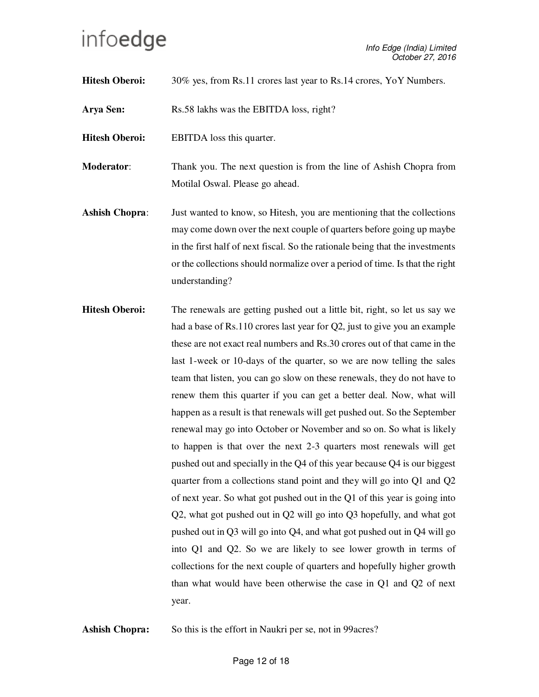**Hitesh Oberoi:** 30% yes, from Rs.11 crores last year to Rs.14 crores, YoY Numbers.

**Arya Sen:** Rs.58 lakhs was the EBITDA loss, right?

**Hitesh Oberoi:** EBITDA loss this quarter.

**Moderator:** Thank you. The next question is from the line of Ashish Chopra from Motilal Oswal. Please go ahead.

- **Ashish Chopra:** Just wanted to know, so Hitesh, you are mentioning that the collections may come down over the next couple of quarters before going up maybe in the first half of next fiscal. So the rationale being that the investments or the collections should normalize over a period of time. Is that the right understanding?
- **Hitesh Oberoi:** The renewals are getting pushed out a little bit, right, so let us say we had a base of Rs.110 crores last year for Q2, just to give you an example these are not exact real numbers and Rs.30 crores out of that came in the last 1-week or 10-days of the quarter, so we are now telling the sales team that listen, you can go slow on these renewals, they do not have to renew them this quarter if you can get a better deal. Now, what will happen as a result is that renewals will get pushed out. So the September renewal may go into October or November and so on. So what is likely to happen is that over the next 2-3 quarters most renewals will get pushed out and specially in the Q4 of this year because Q4 is our biggest quarter from a collections stand point and they will go into Q1 and Q2 of next year. So what got pushed out in the Q1 of this year is going into Q2, what got pushed out in Q2 will go into Q3 hopefully, and what got pushed out in Q3 will go into Q4, and what got pushed out in Q4 will go into Q1 and Q2. So we are likely to see lower growth in terms of collections for the next couple of quarters and hopefully higher growth than what would have been otherwise the case in Q1 and Q2 of next year.

Ashish Chopra: So this is the effort in Naukri per se, not in 99 acres?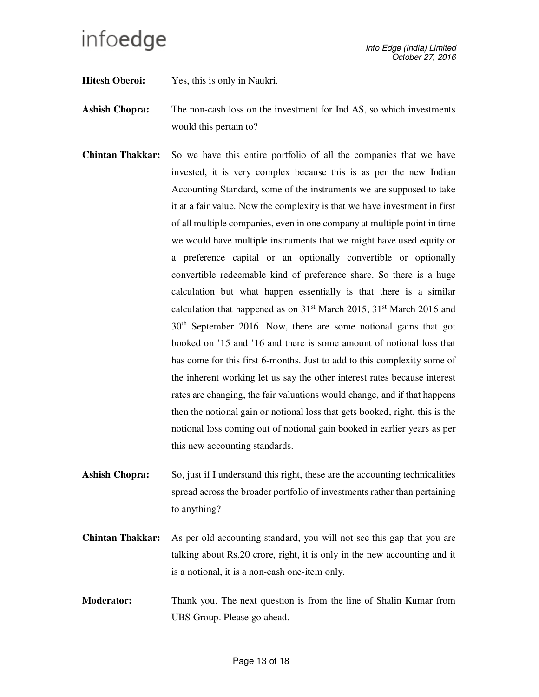**Hitesh Oberoi:** Yes, this is only in Naukri.

- **Ashish Chopra:** The non-cash loss on the investment for Ind AS, so which investments would this pertain to?
- **Chintan Thakkar:** So we have this entire portfolio of all the companies that we have invested, it is very complex because this is as per the new Indian Accounting Standard, some of the instruments we are supposed to take it at a fair value. Now the complexity is that we have investment in first of all multiple companies, even in one company at multiple point in time we would have multiple instruments that we might have used equity or a preference capital or an optionally convertible or optionally convertible redeemable kind of preference share. So there is a huge calculation but what happen essentially is that there is a similar calculation that happened as on  $31<sup>st</sup>$  March 2015,  $31<sup>st</sup>$  March 2016 and 30th September 2016. Now, there are some notional gains that got booked on '15 and '16 and there is some amount of notional loss that has come for this first 6-months. Just to add to this complexity some of the inherent working let us say the other interest rates because interest rates are changing, the fair valuations would change, and if that happens then the notional gain or notional loss that gets booked, right, this is the notional loss coming out of notional gain booked in earlier years as per this new accounting standards.
- **Ashish Chopra:** So, just if I understand this right, these are the accounting technicalities spread across the broader portfolio of investments rather than pertaining to anything?
- **Chintan Thakkar:** As per old accounting standard, you will not see this gap that you are talking about Rs.20 crore, right, it is only in the new accounting and it is a notional, it is a non-cash one-item only.
- **Moderator:** Thank you. The next question is from the line of Shalin Kumar from UBS Group. Please go ahead.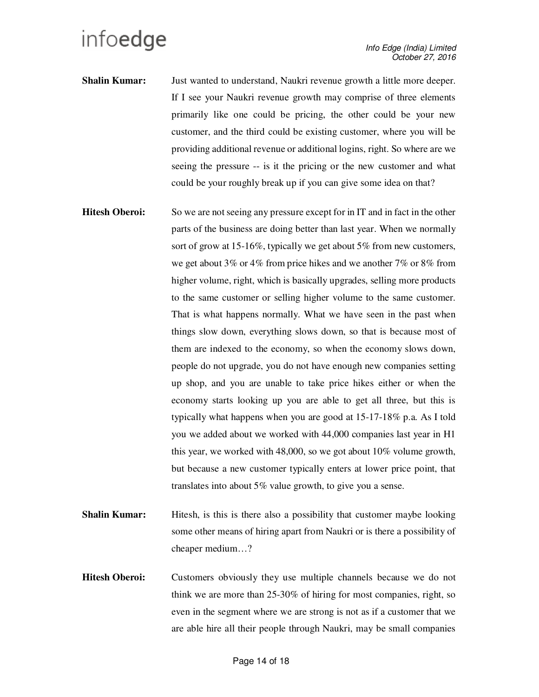- **Shalin Kumar:** Just wanted to understand, Naukri revenue growth a little more deeper. If I see your Naukri revenue growth may comprise of three elements primarily like one could be pricing, the other could be your new customer, and the third could be existing customer, where you will be providing additional revenue or additional logins, right. So where are we seeing the pressure -- is it the pricing or the new customer and what could be your roughly break up if you can give some idea on that?
- **Hitesh Oberoi:** So we are not seeing any pressure except for in IT and in fact in the other parts of the business are doing better than last year. When we normally sort of grow at 15-16%, typically we get about 5% from new customers, we get about 3% or 4% from price hikes and we another 7% or 8% from higher volume, right, which is basically upgrades, selling more products to the same customer or selling higher volume to the same customer. That is what happens normally. What we have seen in the past when things slow down, everything slows down, so that is because most of them are indexed to the economy, so when the economy slows down, people do not upgrade, you do not have enough new companies setting up shop, and you are unable to take price hikes either or when the economy starts looking up you are able to get all three, but this is typically what happens when you are good at 15-17-18% p.a. As I told you we added about we worked with 44,000 companies last year in H1 this year, we worked with 48,000, so we got about 10% volume growth, but because a new customer typically enters at lower price point, that translates into about 5% value growth, to give you a sense.
- **Shalin Kumar:** Hitesh, is this is there also a possibility that customer maybe looking some other means of hiring apart from Naukri or is there a possibility of cheaper medium…?
- Hitesh Oberoi: Customers obviously they use multiple channels because we do not think we are more than 25-30% of hiring for most companies, right, so even in the segment where we are strong is not as if a customer that we are able hire all their people through Naukri, may be small companies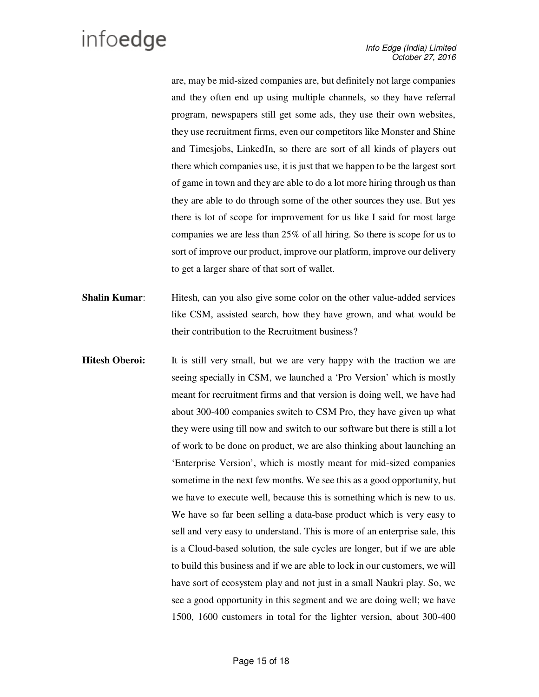are, may be mid-sized companies are, but definitely not large companies and they often end up using multiple channels, so they have referral program, newspapers still get some ads, they use their own websites, they use recruitment firms, even our competitors like Monster and Shine and Timesjobs, LinkedIn, so there are sort of all kinds of players out there which companies use, it is just that we happen to be the largest sort of game in town and they are able to do a lot more hiring through us than they are able to do through some of the other sources they use. But yes there is lot of scope for improvement for us like I said for most large companies we are less than 25% of all hiring. So there is scope for us to sort of improve our product, improve our platform, improve our delivery to get a larger share of that sort of wallet.

- **Shalin Kumar:** Hitesh, can you also give some color on the other value-added services like CSM, assisted search, how they have grown, and what would be their contribution to the Recruitment business?
- **Hitesh Oberoi:** It is still very small, but we are very happy with the traction we are seeing specially in CSM, we launched a 'Pro Version' which is mostly meant for recruitment firms and that version is doing well, we have had about 300-400 companies switch to CSM Pro, they have given up what they were using till now and switch to our software but there is still a lot of work to be done on product, we are also thinking about launching an 'Enterprise Version', which is mostly meant for mid-sized companies sometime in the next few months. We see this as a good opportunity, but we have to execute well, because this is something which is new to us. We have so far been selling a data-base product which is very easy to sell and very easy to understand. This is more of an enterprise sale, this is a Cloud-based solution, the sale cycles are longer, but if we are able to build this business and if we are able to lock in our customers, we will have sort of ecosystem play and not just in a small Naukri play. So, we see a good opportunity in this segment and we are doing well; we have 1500, 1600 customers in total for the lighter version, about 300-400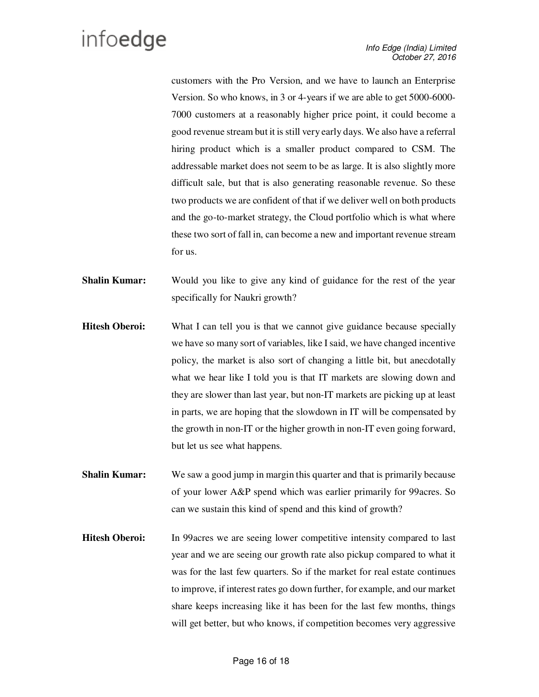customers with the Pro Version, and we have to launch an Enterprise Version. So who knows, in 3 or 4-years if we are able to get 5000-6000- 7000 customers at a reasonably higher price point, it could become a good revenue stream but it is still very early days. We also have a referral hiring product which is a smaller product compared to CSM. The addressable market does not seem to be as large. It is also slightly more difficult sale, but that is also generating reasonable revenue. So these two products we are confident of that if we deliver well on both products and the go-to-market strategy, the Cloud portfolio which is what where these two sort of fall in, can become a new and important revenue stream for us.

- **Shalin Kumar:** Would you like to give any kind of guidance for the rest of the year specifically for Naukri growth?
- **Hitesh Oberoi:** What I can tell you is that we cannot give guidance because specially we have so many sort of variables, like I said, we have changed incentive policy, the market is also sort of changing a little bit, but anecdotally what we hear like I told you is that IT markets are slowing down and they are slower than last year, but non-IT markets are picking up at least in parts, we are hoping that the slowdown in IT will be compensated by the growth in non-IT or the higher growth in non-IT even going forward, but let us see what happens.
- **Shalin Kumar:** We saw a good jump in margin this quarter and that is primarily because of your lower A&P spend which was earlier primarily for 99acres. So can we sustain this kind of spend and this kind of growth?
- **Hitesh Oberoi:** In 99 acres we are seeing lower competitive intensity compared to last year and we are seeing our growth rate also pickup compared to what it was for the last few quarters. So if the market for real estate continues to improve, if interest rates go down further, for example, and our market share keeps increasing like it has been for the last few months, things will get better, but who knows, if competition becomes very aggressive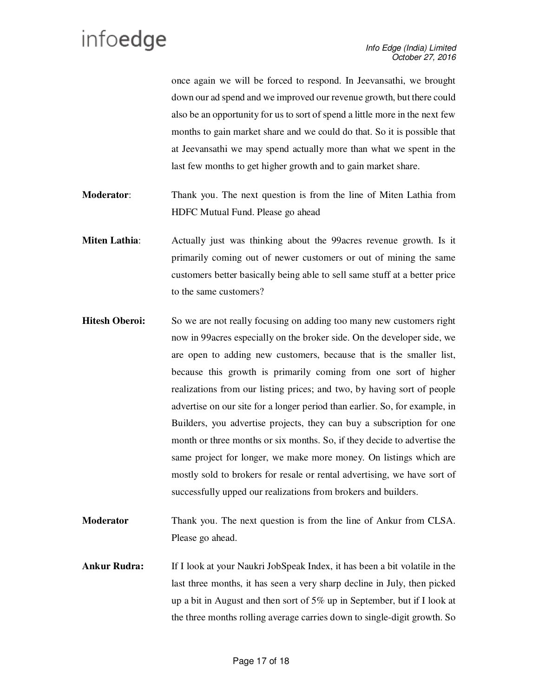once again we will be forced to respond. In Jeevansathi, we brought down our ad spend and we improved our revenue growth, but there could also be an opportunity for us to sort of spend a little more in the next few months to gain market share and we could do that. So it is possible that at Jeevansathi we may spend actually more than what we spent in the last few months to get higher growth and to gain market share.

- **Moderator**: Thank you. The next question is from the line of Miten Lathia from HDFC Mutual Fund. Please go ahead
- **Miten Lathia**: Actually just was thinking about the 99acres revenue growth. Is it primarily coming out of newer customers or out of mining the same customers better basically being able to sell same stuff at a better price to the same customers?
- **Hitesh Oberoi:** So we are not really focusing on adding too many new customers right now in 99acres especially on the broker side. On the developer side, we are open to adding new customers, because that is the smaller list, because this growth is primarily coming from one sort of higher realizations from our listing prices; and two, by having sort of people advertise on our site for a longer period than earlier. So, for example, in Builders, you advertise projects, they can buy a subscription for one month or three months or six months. So, if they decide to advertise the same project for longer, we make more money. On listings which are mostly sold to brokers for resale or rental advertising, we have sort of successfully upped our realizations from brokers and builders.
- **Moderator** Thank you. The next question is from the line of Ankur from CLSA. Please go ahead.
- **Ankur Rudra:** If I look at your Naukri JobSpeak Index, it has been a bit volatile in the last three months, it has seen a very sharp decline in July, then picked up a bit in August and then sort of 5% up in September, but if I look at the three months rolling average carries down to single-digit growth. So